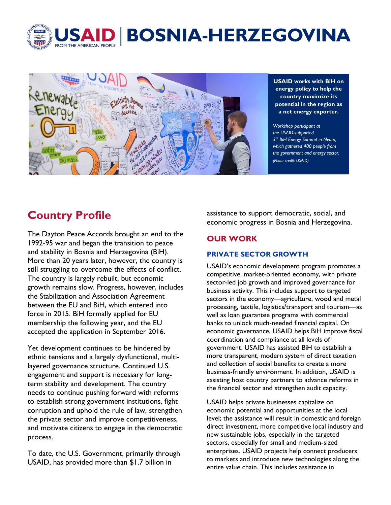



**USAID works with BiH on energy policy to help the country maximize its potential in the region as a net energy exporter.**

*Workshop participant at the USAID-supported 3rd BiH Energy Summit in Neum, which gathered 400 people from the government and energy sector. (Photo credit: USAID)*

# **Country Profile**

The Dayton Peace Accords brought an end to the 1992-95 war and began the transition to peace and stability in Bosnia and Herzegovina (BiH). More than 20 years later, however, the country is still struggling to overcome the effects of conflict. The country is largely rebuilt, but economic growth remains slow. Progress, however, includes the Stabilization and Association Agreement between the EU and BiH, which entered into force in 2015. BiH formally applied for EU membership the following year, and the EU accepted the application in September 2016.

Yet development continues to be hindered by ethnic tensions and a largely dysfunctional, multilayered governance structure. Continued U.S. engagement and support is necessary for longterm stability and development. The country needs to continue pushing forward with reforms to establish strong government institutions, fight corruption and uphold the rule of law, strengthen the private sector and improve competitiveness, and motivate citizens to engage in the democratic process.

To date, the U.S. Government, primarily through USAID, has provided more than \$1.7 billion in

assistance to support democratic, social, and economic progress in Bosnia and Herzegovina.

# **OUR WORK**

## **PRIVATE SECTOR GROWTH**

USAID's economic development program promotes a competitive, market-oriented economy, with private sector-led job growth and improved governance for business activity. This includes support to targeted sectors in the economy—agriculture, wood and metal processing, textile, logistics/transport and tourism—as well as loan guarantee programs with commercial banks to unlock much-needed financial capital. On economic governance, USAID helps BiH improve fiscal coordination and compliance at all levels of government. USAID has assisted BiH to establish a more transparent, modern system of direct taxation and collection of social benefits to create a more business-friendly environment. In addition, USAID is assisting host country partners to advance reforms in the financial sector and strengthen audit capacity.

USAID helps private businesses capitalize on economic potential and opportunities at the local level; the assistance will result in domestic and foreign direct investment, more competitive local industry and new sustainable jobs, especially in the targeted sectors, especially for small and medium-sized enterprises. USAID projects help connect producers to markets and introduce new technologies along the entire value chain. This includes assistance in